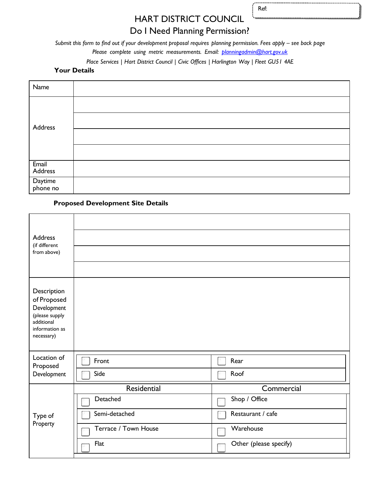Ref:

# HART DISTRICT COUNCIL

# Do I Need Planning Permission?

*Submit this form to find out if your development proposal requires planning permission. Fees apply – see back page* 

*Please complete using metric measurements. Email: [planningadmin@hart.gov.uk](mailto:planningadmin@hart.gov.uk)*

*Place Services | Hart District Council | Civic Offices | Harlington Way | Fleet GU51 4AE*

#### **Your Details**

| Name                |  |
|---------------------|--|
| Address             |  |
|                     |  |
|                     |  |
|                     |  |
| Email<br>Address    |  |
| Daytime<br>phone no |  |

### **Proposed Development Site Details**

| <b>Address</b><br>(if different                                                                           |                      |                        |
|-----------------------------------------------------------------------------------------------------------|----------------------|------------------------|
| from above)                                                                                               |                      |                        |
|                                                                                                           |                      |                        |
| Description<br>of Proposed<br>Development<br>(please supply<br>additional<br>information as<br>necessary) |                      |                        |
| Location of<br>Proposed                                                                                   | Front                | Rear                   |
| Development                                                                                               | Side                 | Roof                   |
|                                                                                                           | Residential          | Commercial             |
|                                                                                                           | Detached             | Shop / Office          |
| Type of                                                                                                   | Semi-detached        | Restaurant / cafe      |
| Property                                                                                                  | Terrace / Town House | Warehouse              |
|                                                                                                           | Flat                 | Other (please specify) |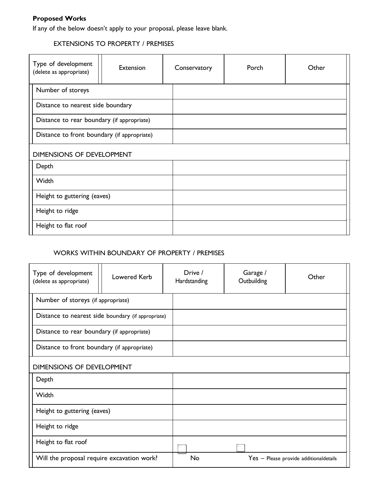# **Proposed Works**

If any of the below doesn't apply to your proposal, please leave blank.

### EXTENSIONS TO PROPERTY / PREMISES

| Type of development<br>(delete as appropriate) | Extension | Conservatory | Porch | Other |
|------------------------------------------------|-----------|--------------|-------|-------|
| Number of storeys                              |           |              |       |       |
| Distance to nearest side boundary              |           |              |       |       |
| Distance to rear boundary (if appropriate)     |           |              |       |       |
| Distance to front boundary (if appropriate)    |           |              |       |       |
| <b>DIMENSIONS OF DEVELOPMENT</b>               |           |              |       |       |
| Depth                                          |           |              |       |       |
| Width                                          |           |              |       |       |
| Height to guttering (eaves)                    |           |              |       |       |
| Height to ridge                                |           |              |       |       |
| Height to flat roof                            |           |              |       |       |

## WORKS WITHIN BOUNDARY OF PROPERTY / PREMISES

| Type of development<br>(delete as appropriate)     | Lowered Kerb | Drive /<br>Hardstanding | Garage /<br>Outbuilding | Other                                  |
|----------------------------------------------------|--------------|-------------------------|-------------------------|----------------------------------------|
| Number of storeys (if appropriate)                 |              |                         |                         |                                        |
| Distance to nearest side boundary (if appropriate) |              |                         |                         |                                        |
| Distance to rear boundary (if appropriate)         |              |                         |                         |                                        |
| Distance to front boundary (if appropriate)        |              |                         |                         |                                        |
| <b>DIMENSIONS OF DEVELOPMENT</b>                   |              |                         |                         |                                        |
| Depth                                              |              |                         |                         |                                        |
| Width                                              |              |                         |                         |                                        |
| Height to guttering (eaves)                        |              |                         |                         |                                        |
| Height to ridge                                    |              |                         |                         |                                        |
| Height to flat roof                                |              |                         |                         |                                        |
| Will the proposal require excavation work?         |              | No                      |                         | Yes - Please provide additionaldetails |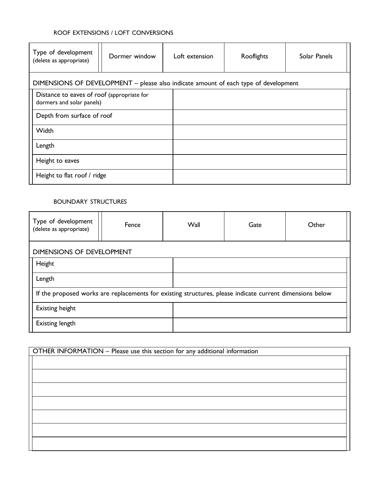### ROOF EXTENSIONS / LOFT CONVERSIONS

| Type of development<br>(delete as appropriate)                                      | Dormer window | Loft extension | Rooflights | Solar Panels |
|-------------------------------------------------------------------------------------|---------------|----------------|------------|--------------|
| DIMENSIONS OF DEVELOPMENT - please also indicate amount of each type of development |               |                |            |              |
| Distance to eaves of roof (appropriate for<br>dormers and solar panels)             |               |                |            |              |
| Depth from surface of roof                                                          |               |                |            |              |
| Width                                                                               |               |                |            |              |
| Length                                                                              |               |                |            |              |
| Height to eaves                                                                     |               |                |            |              |
| Height to flat roof / ridge                                                         |               |                |            |              |

#### BOUNDARY STRUCTURES

| Type of development<br>(delete as appropriate)                                                           | Fence | <b>Wall</b> | Gate | Other |
|----------------------------------------------------------------------------------------------------------|-------|-------------|------|-------|
| DIMENSIONS OF DEVELOPMENT                                                                                |       |             |      |       |
| Height                                                                                                   |       |             |      |       |
| Length                                                                                                   |       |             |      |       |
| If the proposed works are replacements for existing structures, please indicate current dimensions below |       |             |      |       |
| <b>Existing height</b>                                                                                   |       |             |      |       |
| <b>Existing length</b>                                                                                   |       |             |      |       |

| OTHER INFORMATION - Please use this section for any additional information |
|----------------------------------------------------------------------------|
|                                                                            |
|                                                                            |
|                                                                            |
|                                                                            |
|                                                                            |
|                                                                            |
|                                                                            |
|                                                                            |
|                                                                            |
|                                                                            |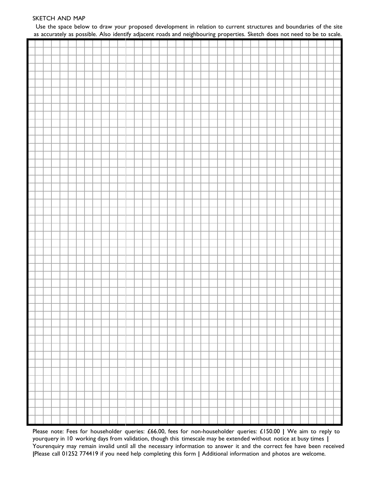#### SKETCH AND MAP

Use the space below to draw your proposed development in relation to current structures and boundaries of the site as accurately as possible. Also identify adjacent roads and neighbouring properties. Sketch does not need to be to scale.

| ┡                        |  |  |  |  |  |  |  |  |  |  |  |  |  |  |  |  |  |  |  |
|--------------------------|--|--|--|--|--|--|--|--|--|--|--|--|--|--|--|--|--|--|--|
| $\overline{\phantom{a}}$ |  |  |  |  |  |  |  |  |  |  |  |  |  |  |  |  |  |  |  |
| Ħ                        |  |  |  |  |  |  |  |  |  |  |  |  |  |  |  |  |  |  |  |
|                          |  |  |  |  |  |  |  |  |  |  |  |  |  |  |  |  |  |  |  |
| $\overline{\phantom{a}}$ |  |  |  |  |  |  |  |  |  |  |  |  |  |  |  |  |  |  |  |
| $\overline{\phantom{a}}$ |  |  |  |  |  |  |  |  |  |  |  |  |  |  |  |  |  |  |  |
| $\overline{\phantom{a}}$ |  |  |  |  |  |  |  |  |  |  |  |  |  |  |  |  |  |  |  |
| ├                        |  |  |  |  |  |  |  |  |  |  |  |  |  |  |  |  |  |  |  |
| $\overline{\phantom{0}}$ |  |  |  |  |  |  |  |  |  |  |  |  |  |  |  |  |  |  |  |
| ⊢                        |  |  |  |  |  |  |  |  |  |  |  |  |  |  |  |  |  |  |  |
| Н                        |  |  |  |  |  |  |  |  |  |  |  |  |  |  |  |  |  |  |  |
| F                        |  |  |  |  |  |  |  |  |  |  |  |  |  |  |  |  |  |  |  |
| Ī                        |  |  |  |  |  |  |  |  |  |  |  |  |  |  |  |  |  |  |  |
|                          |  |  |  |  |  |  |  |  |  |  |  |  |  |  |  |  |  |  |  |

Please note: Fees for householder queries: £66.00, fees for non-householder queries: £150.00 **|** We aim to reply to yourquery in 10 working days from validation, though this timescale may be extended without notice at busy times **|**  Yourenquiry may remain invalid until all the necessary information to answer it and the correct fee have been received **|**Please call 01252 774419 if you need help completing this form **|** Additional information and photos are welcome.